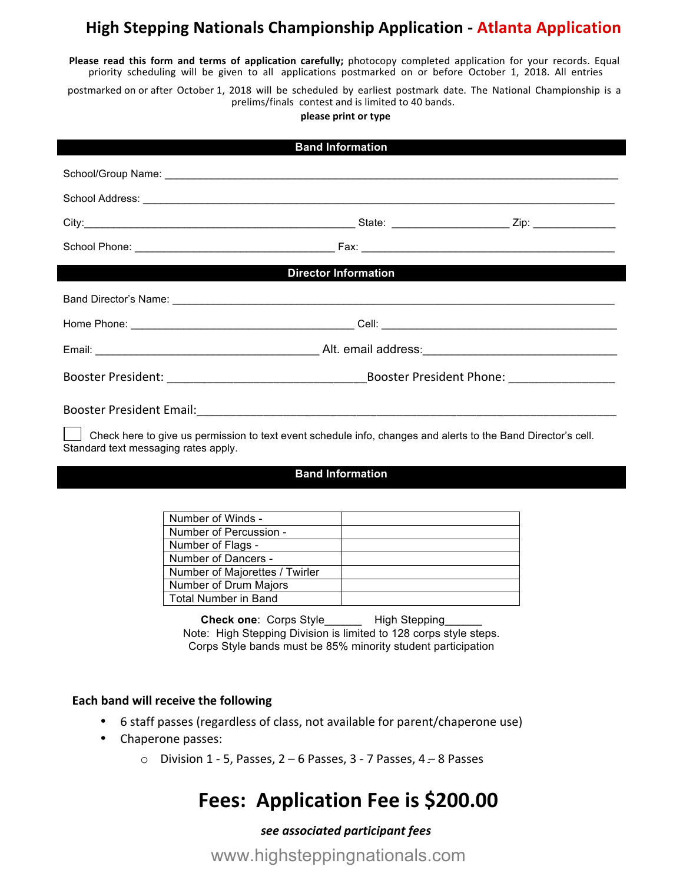# **High Stepping Nationals Championship Application - Atlanta Application**

**Please read this form and terms of application carefully; photocopy completed application for your records. Equal** priority scheduling will be given to all applications postmarked on or before October 1, 2018. All entries

postmarked on or after October 1, 2018 will be scheduled by earliest postmark date. The National Championship is a prelims/finals contest and is limited to 40 bands.

**please print or type**

| <b>Band Information</b>                                                                                                                               |  |
|-------------------------------------------------------------------------------------------------------------------------------------------------------|--|
|                                                                                                                                                       |  |
|                                                                                                                                                       |  |
|                                                                                                                                                       |  |
|                                                                                                                                                       |  |
| <b>Director Information</b>                                                                                                                           |  |
|                                                                                                                                                       |  |
|                                                                                                                                                       |  |
|                                                                                                                                                       |  |
|                                                                                                                                                       |  |
|                                                                                                                                                       |  |
| Check here to give us permission to text event schedule info, changes and alerts to the Band Director's cell.<br>Standard text messaging rates apply. |  |
| <b>Property Indianapolisan</b>                                                                                                                        |  |

#### **Band Information**

| Number of Winds -              |  |
|--------------------------------|--|
| Number of Percussion -         |  |
| Number of Flags -              |  |
| Number of Dancers -            |  |
| Number of Majorettes / Twirler |  |
| Number of Drum Majors          |  |
| <b>Total Number in Band</b>    |  |

**Check one: Corps Style\_\_\_\_\_\_\_\_ High Stepping\_** Note: High Stepping Division is limited to 128 corps style steps. Corps Style bands must be 85% minority student participation

#### **Each band will receive the following**

- 6 staff passes (regardless of class, not available for parent/chaperone use)
- Chaperone passes:
	- $\circ$  Division 1 5, Passes, 2 6 Passes, 3 7 Passes, 4 8 Passes

# **Fees: Application Fee is \$200.00**

#### *see associated participant fees*

www.highsteppingnationals.com